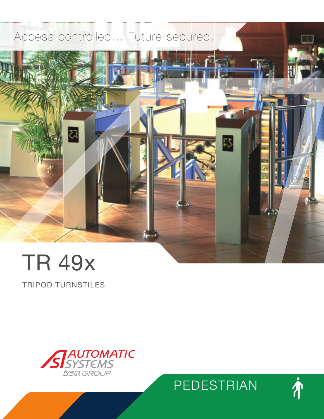# Access controlled… Future secured.



TRIPOD TURNSTILES